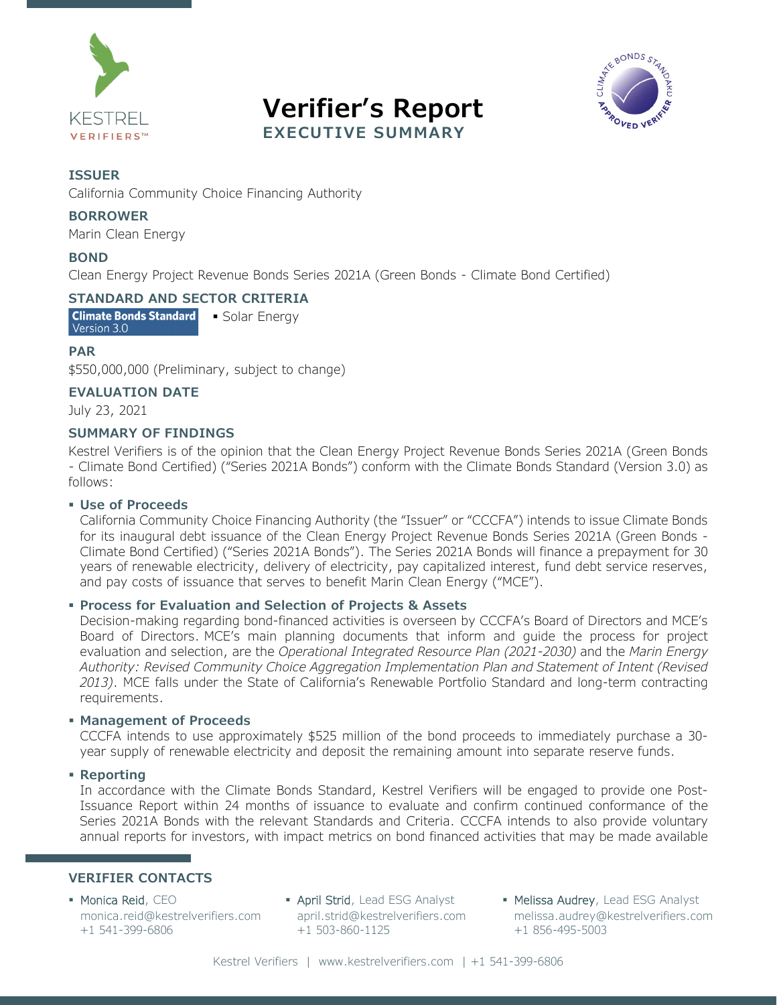





#### **ISSUER**

California Community Choice Financing Authority

#### **BORROWER**

Marin Clean Energy

#### **BOND**

Clean Energy Project Revenue Bonds Series 2021A (Green Bonds - Climate Bond Certified)

#### **STANDARD AND SECTOR CRITERIA**

**Climate Bonds Standard** • Solar Energy Version 3.0

#### **PAR**

\$550,000,000 (Preliminary, subject to change)

#### **EVALUATION DATE**

July 23, 2021

#### **SUMMARY OF FINDINGS**

Kestrel Verifiers is of the opinion that the Clean Energy Project Revenue Bonds Series 2021A (Green Bonds - Climate Bond Certified) ("Series 2021A Bonds") conform with the Climate Bonds Standard (Version 3.0) as follows:

#### **Use of Proceeds**

California Community Choice Financing Authority (the "Issuer" or "CCCFA") intends to issue Climate Bonds for its inaugural debt issuance of the Clean Energy Project Revenue Bonds Series 2021A (Green Bonds - Climate Bond Certified) ("Series 2021A Bonds"). The Series 2021A Bonds will finance a prepayment for 30 years of renewable electricity, delivery of electricity, pay capitalized interest, fund debt service reserves, and pay costs of issuance that serves to benefit Marin Clean Energy ("MCE").

#### **Process for Evaluation and Selection of Projects & Assets**

Decision-making regarding bond-financed activities is overseen by CCCFA's Board of Directors and MCE's Board of Directors. MCE's main planning documents that inform and guide the process for project evaluation and selection, are the *Operational Integrated Resource Plan (2021-2030)* and the *Marin Energy Authority: Revised Community Choice Aggregation Implementation Plan and Statement of Intent (Revised 2013)*. MCE falls under the State of California's Renewable Portfolio Standard and long-term contracting requirements.

#### **Management of Proceeds**

CCCFA intends to use approximately \$525 million of the bond proceeds to immediately purchase a 30 year supply of renewable electricity and deposit the remaining amount into separate reserve funds.

#### **Reporting**

In accordance with the Climate Bonds Standard, Kestrel Verifiers will be engaged to provide one Post-Issuance Report within 24 months of issuance to evaluate and confirm continued conformance of the Series 2021A Bonds with the relevant Standards and Criteria. CCCFA intends to also provide voluntary annual reports for investors, with impact metrics on bond financed activities that may be made available

#### **VERIFIER CONTACTS**

- **Monica Reid, CEO** [monica.reid@kestrelverifiers.com](mailto:monica.reid@kestrelverifiers.com)  +1 541-399-6806
- **April Strid, Lead ESG Analyst** [april.strid@kestrelverifiers.com](mailto:april.strid@kestrelverifiers.com) +1 503-860-1125
- Melissa Audrey, Lead ESG Analyst [melissa.audrey@kestrelverifiers.com](mailto:melissa.audrey@kestrelverifiers.com) +1 856-495-5003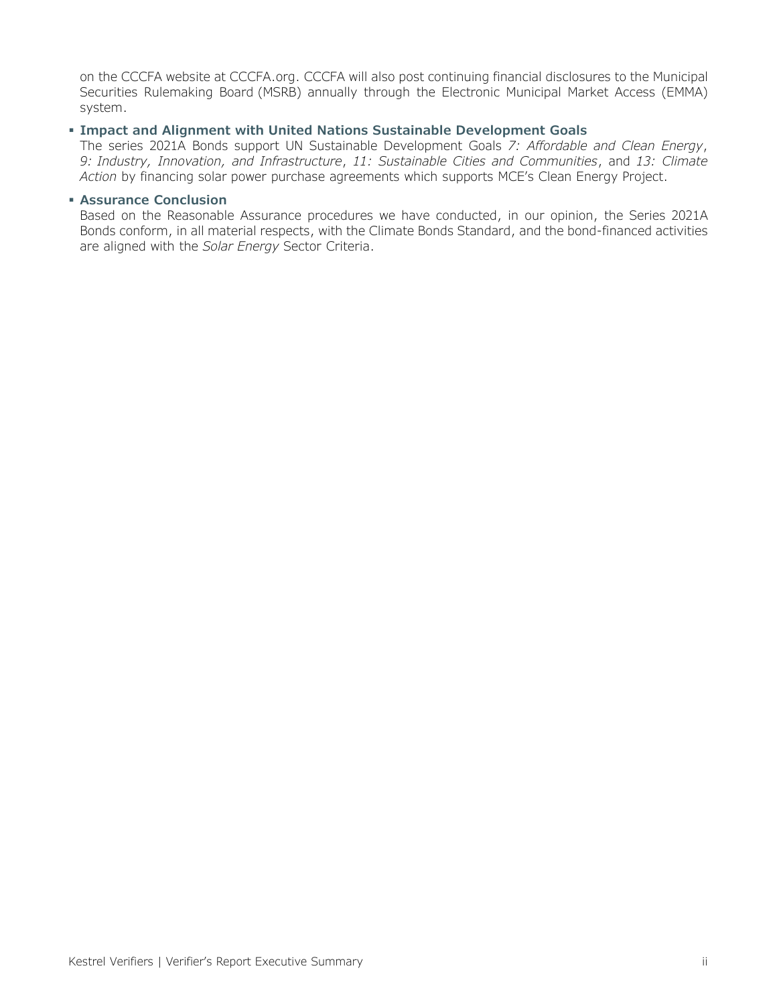on the CCCFA website at CCCFA.org. CCCFA will also post continuing financial disclosures to the Municipal Securities Rulemaking Board (MSRB) annually through the Electronic Municipal Market Access (EMMA) system.

#### **Impact and Alignment with United Nations Sustainable Development Goals**

The series 2021A Bonds support UN Sustainable Development Goals *7: Affordable and Clean Energy*, *9: Industry, Innovation, and Infrastructure*, *11: Sustainable Cities and Communities*, and *13: Climate Action* by financing solar power purchase agreements which supports MCE's Clean Energy Project.

#### **Assurance Conclusion**

Based on the Reasonable Assurance procedures we have conducted, in our opinion, the Series 2021A Bonds conform, in all material respects, with the Climate Bonds Standard, and the bond-financed activities are aligned with the *Solar Energy* Sector Criteria.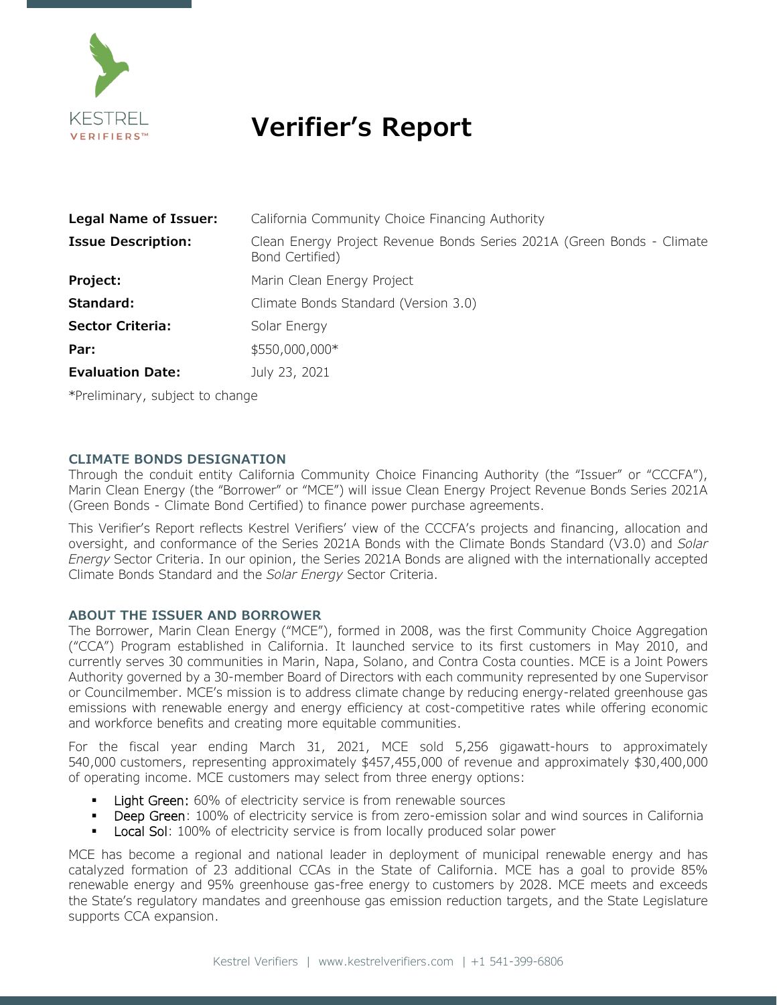

# **Verifier's Report**

| Legal Name of Issuer:     | California Community Choice Financing Authority                                           |
|---------------------------|-------------------------------------------------------------------------------------------|
| <b>Issue Description:</b> | Clean Energy Project Revenue Bonds Series 2021A (Green Bonds - Climate<br>Bond Certified) |
| Project:                  | Marin Clean Energy Project                                                                |
| Standard:                 | Climate Bonds Standard (Version 3.0)                                                      |
| <b>Sector Criteria:</b>   | Solar Energy                                                                              |
| Par:                      | \$550,000,000*                                                                            |
| <b>Evaluation Date:</b>   | July 23, 2021                                                                             |

\*Preliminary, subject to change

#### **CLIMATE BONDS DESIGNATION**

Through the conduit entity California Community Choice Financing Authority (the "Issuer" or "CCCFA"), Marin Clean Energy (the "Borrower" or "MCE") will issue Clean Energy Project Revenue Bonds Series 2021A (Green Bonds - Climate Bond Certified) to finance power purchase agreements.

This Verifier's Report reflects Kestrel Verifiers' view of the CCCFA's projects and financing, allocation and oversight, and conformance of the Series 2021A Bonds with the Climate Bonds Standard (V3.0) and *Solar Energy* Sector Criteria. In our opinion, the Series 2021A Bonds are aligned with the internationally accepted Climate Bonds Standard and the *Solar Energy* Sector Criteria.

#### **ABOUT THE ISSUER AND BORROWER**

The Borrower, Marin Clean Energy ("MCE"), formed in 2008, was the first Community Choice Aggregation ("CCA") Program established in California. It launched service to its first customers in May 2010, and currently serves 30 communities in Marin, Napa, Solano, and Contra Costa counties. MCE is a Joint Powers Authority governed by a 30-member Board of Directors with each community represented by one Supervisor or Councilmember. MCE's mission is to address climate change by reducing energy-related greenhouse gas emissions with renewable energy and energy efficiency at cost-competitive rates while offering economic and workforce benefits and creating more equitable communities.

For the fiscal year ending March 31, 2021, MCE sold 5,256 gigawatt-hours to approximately 540,000 customers, representing approximately \$457,455,000 of revenue and approximately \$30,400,000 of operating income. MCE customers may select from three energy options:

- Light Green: 60% of electricity service is from renewable sources
- Deep Green: 100% of electricity service is from zero-emission solar and wind sources in California
- Local Sol: 100% of electricity service is from locally produced solar power

MCE has become a regional and national leader in deployment of municipal renewable energy and has catalyzed formation of 23 additional CCAs in the State of California. MCE has a goal to provide 85% renewable energy and 95% greenhouse gas-free energy to customers by 2028. MCE meets and exceeds the State's regulatory mandates and greenhouse gas emission reduction targets, and the State Legislature supports CCA expansion.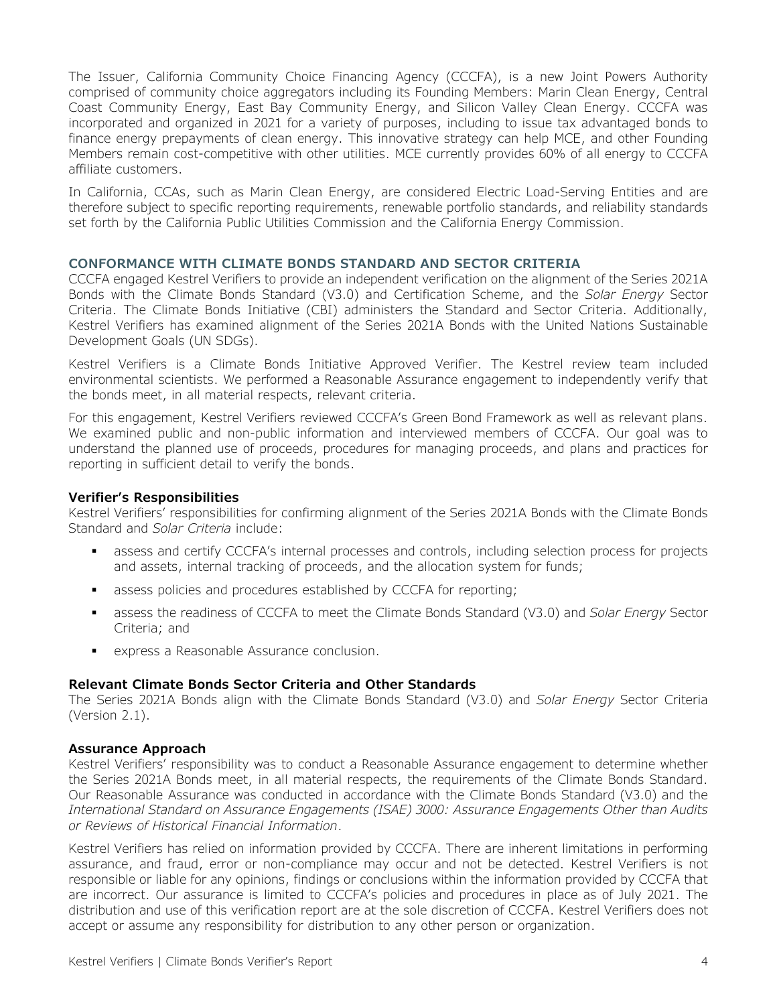The Issuer, California Community Choice Financing Agency (CCCFA), is a new Joint Powers Authority comprised of community choice aggregators including its Founding Members: Marin Clean Energy, Central Coast Community Energy, East Bay Community Energy, and Silicon Valley Clean Energy. CCCFA was incorporated and organized in 2021 for a variety of purposes, including to issue tax advantaged bonds to finance energy prepayments of clean energy. This innovative strategy can help MCE, and other Founding Members remain cost-competitive with other utilities. MCE currently provides 60% of all energy to CCCFA affiliate customers.

In California, CCAs, such as Marin Clean Energy, are considered Electric Load-Serving Entities and are therefore subject to specific reporting requirements, renewable portfolio standards, and reliability standards set forth by the California Public Utilities Commission and the California Energy Commission.

#### **CONFORMANCE WITH CLIMATE BONDS STANDARD AND SECTOR CRITERIA**

CCCFA engaged Kestrel Verifiers to provide an independent verification on the alignment of the Series 2021A Bonds with the Climate Bonds Standard (V3.0) and Certification Scheme, and the *Solar Energy* Sector Criteria. The Climate Bonds Initiative (CBI) administers the Standard and Sector Criteria. Additionally, Kestrel Verifiers has examined alignment of the Series 2021A Bonds with the United Nations Sustainable Development Goals (UN SDGs).

Kestrel Verifiers is a Climate Bonds Initiative Approved Verifier. The Kestrel review team included environmental scientists. We performed a Reasonable Assurance engagement to independently verify that the bonds meet, in all material respects, relevant criteria.

For this engagement, Kestrel Verifiers reviewed CCCFA's Green Bond Framework as well as relevant plans. We examined public and non-public information and interviewed members of CCCFA. Our goal was to understand the planned use of proceeds, procedures for managing proceeds, and plans and practices for reporting in sufficient detail to verify the bonds.

#### **Verifier's Responsibilities**

Kestrel Verifiers' responsibilities for confirming alignment of the Series 2021A Bonds with the Climate Bonds Standard and *Solar Criteria* include:

- assess and certify CCCFA's internal processes and controls, including selection process for projects and assets, internal tracking of proceeds, and the allocation system for funds;
- assess policies and procedures established by CCCFA for reporting;
- assess the readiness of CCCFA to meet the Climate Bonds Standard (V3.0) and *Solar Energy* Sector Criteria; and
- express a Reasonable Assurance conclusion.

#### **Relevant Climate Bonds Sector Criteria and Other Standards**

The Series 2021A Bonds align with the Climate Bonds Standard (V3.0) and *Solar Energy* Sector Criteria (Version 2.1).

#### **Assurance Approach**

Kestrel Verifiers' responsibility was to conduct a Reasonable Assurance engagement to determine whether the Series 2021A Bonds meet, in all material respects, the requirements of the Climate Bonds Standard. Our Reasonable Assurance was conducted in accordance with the Climate Bonds Standard (V3.0) and the *International Standard on Assurance Engagements (ISAE) 3000: Assurance Engagements Other than Audits or Reviews of Historical Financial Information*.

Kestrel Verifiers has relied on information provided by CCCFA. There are inherent limitations in performing assurance, and fraud, error or non-compliance may occur and not be detected. Kestrel Verifiers is not responsible or liable for any opinions, findings or conclusions within the information provided by CCCFA that are incorrect. Our assurance is limited to CCCFA's policies and procedures in place as of July 2021. The distribution and use of this verification report are at the sole discretion of CCCFA. Kestrel Verifiers does not accept or assume any responsibility for distribution to any other person or organization.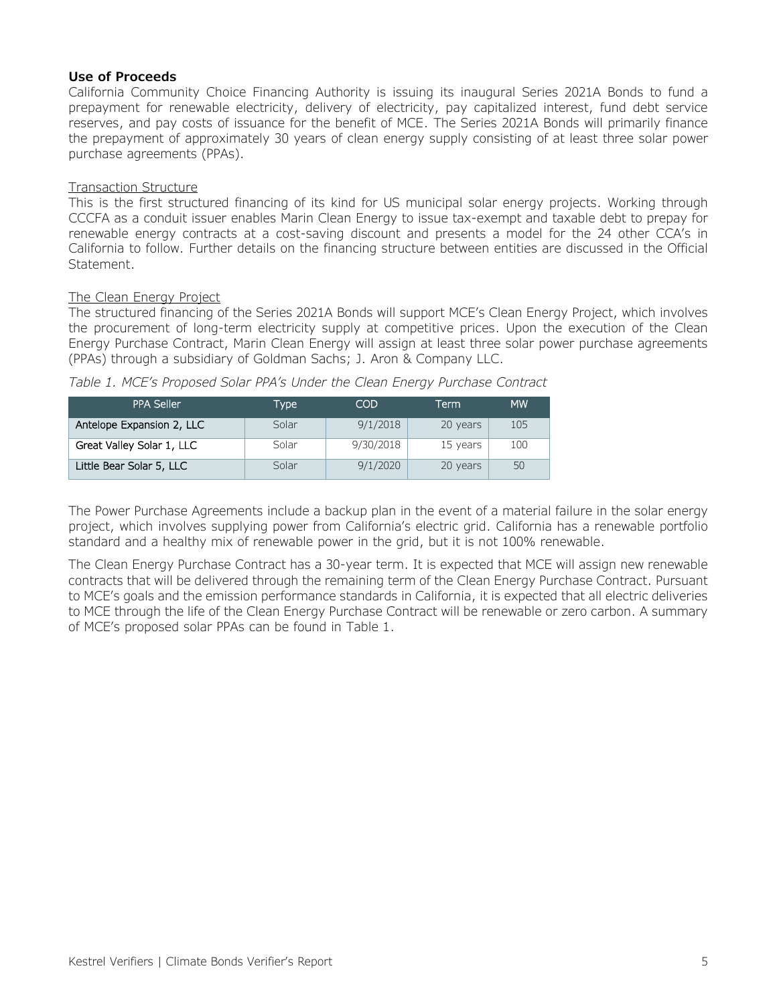#### **Use of Proceeds**

California Community Choice Financing Authority is issuing its inaugural Series 2021A Bonds to fund a prepayment for renewable electricity, delivery of electricity, pay capitalized interest, fund debt service reserves, and pay costs of issuance for the benefit of MCE. The Series 2021A Bonds will primarily finance the prepayment of approximately 30 years of clean energy supply consisting of at least three solar power purchase agreements (PPAs).

#### Transaction Structure

This is the first structured financing of its kind for US municipal solar energy projects. Working through CCCFA as a conduit issuer enables Marin Clean Energy to issue tax-exempt and taxable debt to prepay for renewable energy contracts at a cost-saving discount and presents a model for the 24 other CCA's in California to follow. Further details on the financing structure between entities are discussed in the Official Statement.

#### The Clean Energy Project

The structured financing of the Series 2021A Bonds will support MCE's Clean Energy Project, which involves the procurement of long-term electricity supply at competitive prices. Upon the execution of the Clean Energy Purchase Contract, Marin Clean Energy will assign at least three solar power purchase agreements (PPAs) through a subsidiary of Goldman Sachs; J. Aron & Company LLC.

| PPA Seller                | <b>Type</b> | COD       | Term     | <b>MW</b> |
|---------------------------|-------------|-----------|----------|-----------|
| Antelope Expansion 2, LLC | Solar       | 9/1/2018  | 20 years | 105       |
| Great Valley Solar 1, LLC | Solar       | 9/30/2018 | 15 years | 100       |
| Little Bear Solar 5, LLC  | Solar       | 9/1/2020  | 20 years | 50        |

*Table 1. MCE's Proposed Solar PPA's Under the Clean Energy Purchase Contract*

The Power Purchase Agreements include a backup plan in the event of a material failure in the solar energy project, which involves supplying power from California's electric grid. California has a renewable portfolio standard and a healthy mix of renewable power in the grid, but it is not 100% renewable.

The Clean Energy Purchase Contract has a 30-year term. It is expected that MCE will assign new renewable contracts that will be delivered through the remaining term of the Clean Energy Purchase Contract. Pursuant to MCE's goals and the emission performance standards in California, it is expected that all electric deliveries to MCE through the life of the Clean Energy Purchase Contract will be renewable or zero carbon. A summary of MCE's proposed solar PPAs can be found in Table 1.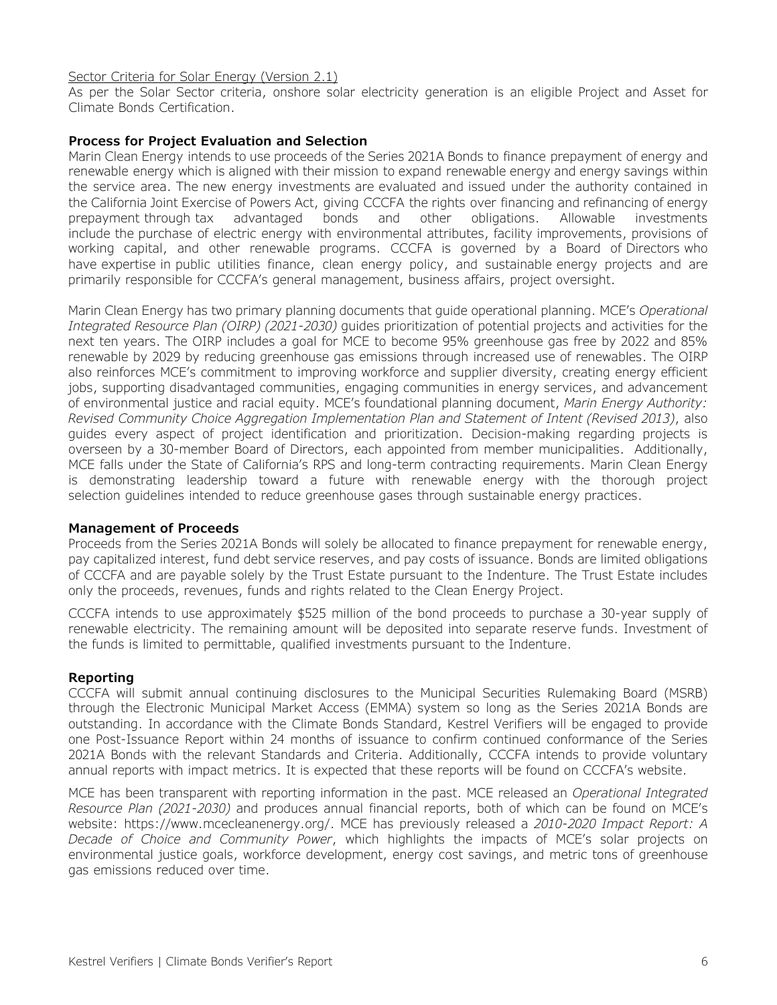#### Sector Criteria for Solar Energy (Version 2.1)

As per the Solar Sector criteria, onshore solar electricity generation is an eligible Project and Asset for Climate Bonds Certification.

#### **Process for Project Evaluation and Selection**

Marin Clean Energy intends to use proceeds of the Series 2021A Bonds to finance prepayment of energy and renewable energy which is aligned with their mission to expand renewable energy and energy savings within the service area. The new energy investments are evaluated and issued under the authority contained in the California Joint Exercise of Powers Act, giving CCCFA the rights over financing and refinancing of energy prepayment through tax advantaged bonds and other obligations. Allowable investments include the purchase of electric energy with environmental attributes, facility improvements, provisions of working capital, and other renewable programs. CCCFA is governed by a Board of Directors who have expertise in public utilities finance, clean energy policy, and sustainable energy projects and are primarily responsible for CCCFA's general management, business affairs, project oversight.

Marin Clean Energy has two primary planning documents that guide operational planning. MCE's *Operational Integrated Resource Plan (OIRP) (2021-2030)* guides prioritization of potential projects and activities for the next ten years. The OIRP includes a goal for MCE to become 95% greenhouse gas free by 2022 and 85% renewable by 2029 by reducing greenhouse gas emissions through increased use of renewables. The OIRP also reinforces MCE's commitment to improving workforce and supplier diversity, creating energy efficient jobs, supporting disadvantaged communities, engaging communities in energy services, and advancement of environmental justice and racial equity. MCE's foundational planning document, *Marin Energy Authority: Revised Community Choice Aggregation Implementation Plan and Statement of Intent (Revised 2013)*, also guides every aspect of project identification and prioritization. Decision-making regarding projects is overseen by a 30-member Board of Directors, each appointed from member municipalities. Additionally, MCE falls under the State of California's RPS and long-term contracting requirements. Marin Clean Energy is demonstrating leadership toward a future with renewable energy with the thorough project selection guidelines intended to reduce greenhouse gases through sustainable energy practices.

#### **Management of Proceeds**

Proceeds from the Series 2021A Bonds will solely be allocated to finance prepayment for renewable energy, pay capitalized interest, fund debt service reserves, and pay costs of issuance. Bonds are limited obligations of CCCFA and are payable solely by the Trust Estate pursuant to the Indenture. The Trust Estate includes only the proceeds, revenues, funds and rights related to the Clean Energy Project.

CCCFA intends to use approximately \$525 million of the bond proceeds to purchase a 30-year supply of renewable electricity. The remaining amount will be deposited into separate reserve funds. Investment of the funds is limited to permittable, qualified investments pursuant to the Indenture.

#### **Reporting**

CCCFA will submit annual continuing disclosures to the Municipal Securities Rulemaking Board (MSRB) through the Electronic Municipal Market Access (EMMA) system so long as the Series 2021A Bonds are outstanding. In accordance with the Climate Bonds Standard, Kestrel Verifiers will be engaged to provide one Post-Issuance Report within 24 months of issuance to confirm continued conformance of the Series 2021A Bonds with the relevant Standards and Criteria. Additionally, CCCFA intends to provide voluntary annual reports with impact metrics. It is expected that these reports will be found on CCCFA's website.

MCE has been transparent with reporting information in the past. MCE released an *Operational Integrated Resource Plan (2021-2030)* and produces annual financial reports, both of which can be found on MCE's website: https://www.mcecleanenergy.org/. MCE has previously released a *2010-2020 Impact Report: A Decade of Choice and Community Power*, which highlights the impacts of MCE's solar projects on environmental justice goals, workforce development, energy cost savings, and metric tons of greenhouse gas emissions reduced over time.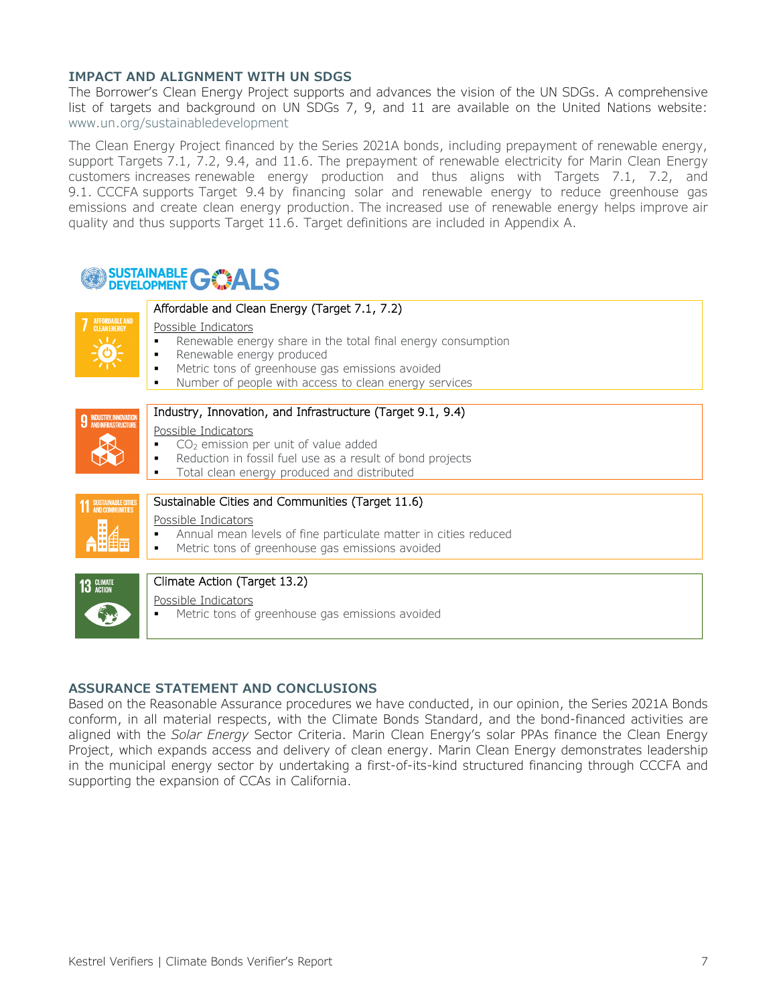#### **IMPACT AND ALIGNMENT WITH UN SDGS**

The Borrower's Clean Energy Project supports and advances the vision of the UN SDGs. A comprehensive list of targets and background on UN SDGs 7, 9, and 11 are available on the United Nations website: [www.un.org/sustainabledevelopment](http://www.un.org/sustainabledevelopment/)

The Clean Energy Project financed by the Series 2021A bonds, including prepayment of renewable energy, support Targets 7.1, 7.2, 9.4, and 11.6. The prepayment of renewable electricity for Marin Clean Energy customers increases renewable energy production and thus aligns with Targets 7.1, 7.2, and 9.1. CCCFA supports Target 9.4 by financing solar and renewable energy to reduce greenhouse gas emissions and create clean energy production. The increased use of renewable energy helps improve air quality and thus supports Target 11.6. Target definitions are included in Appendix A.

## **SUSTAINABLE GOALS**

|                               | Affordable and Clean Energy (Target 7.1, 7.2)                                                                                                                                                                                                       |  |
|-------------------------------|-----------------------------------------------------------------------------------------------------------------------------------------------------------------------------------------------------------------------------------------------------|--|
| <b>7</b> AFFORDABLE AND       | Possible Indicators<br>Renewable energy share in the total final energy consumption<br>Renewable energy produced<br>Metric tons of greenhouse gas emissions avoided<br>٠<br>Number of people with access to clean energy services<br>$\blacksquare$ |  |
|                               |                                                                                                                                                                                                                                                     |  |
| <b>9 INDUSTRY, INNOVATION</b> | Industry, Innovation, and Infrastructure (Target 9.1, 9.4)                                                                                                                                                                                          |  |
|                               | Possible Indicators                                                                                                                                                                                                                                 |  |
|                               | $CO2$ emission per unit of value added                                                                                                                                                                                                              |  |
|                               | Reduction in fossil fuel use as a result of bond projects<br>Total clean energy produced and distributed                                                                                                                                            |  |
|                               |                                                                                                                                                                                                                                                     |  |
| <b>11 SUSTAINABLE CITIES</b>  | Sustainable Cities and Communities (Target 11.6)                                                                                                                                                                                                    |  |
|                               | Possible Indicators                                                                                                                                                                                                                                 |  |
|                               | Annual mean levels of fine particulate matter in cities reduced                                                                                                                                                                                     |  |
|                               | Metric tons of greenhouse gas emissions avoided                                                                                                                                                                                                     |  |
|                               |                                                                                                                                                                                                                                                     |  |
| 13 GLIMATE                    | Climate Action (Target 13.2)                                                                                                                                                                                                                        |  |
|                               | Possible Indicators<br>Metric tons of greenhouse gas emissions avoided                                                                                                                                                                              |  |
|                               |                                                                                                                                                                                                                                                     |  |

#### **ASSURANCE STATEMENT AND CONCLUSIONS**

Based on the Reasonable Assurance procedures we have conducted, in our opinion, the Series 2021A Bonds conform, in all material respects, with the Climate Bonds Standard, and the bond-financed activities are aligned with the *Solar Energy* Sector Criteria. Marin Clean Energy's solar PPAs finance the Clean Energy Project, which expands access and delivery of clean energy. Marin Clean Energy demonstrates leadership in the municipal energy sector by undertaking a first-of-its-kind structured financing through CCCFA and supporting the expansion of CCAs in California.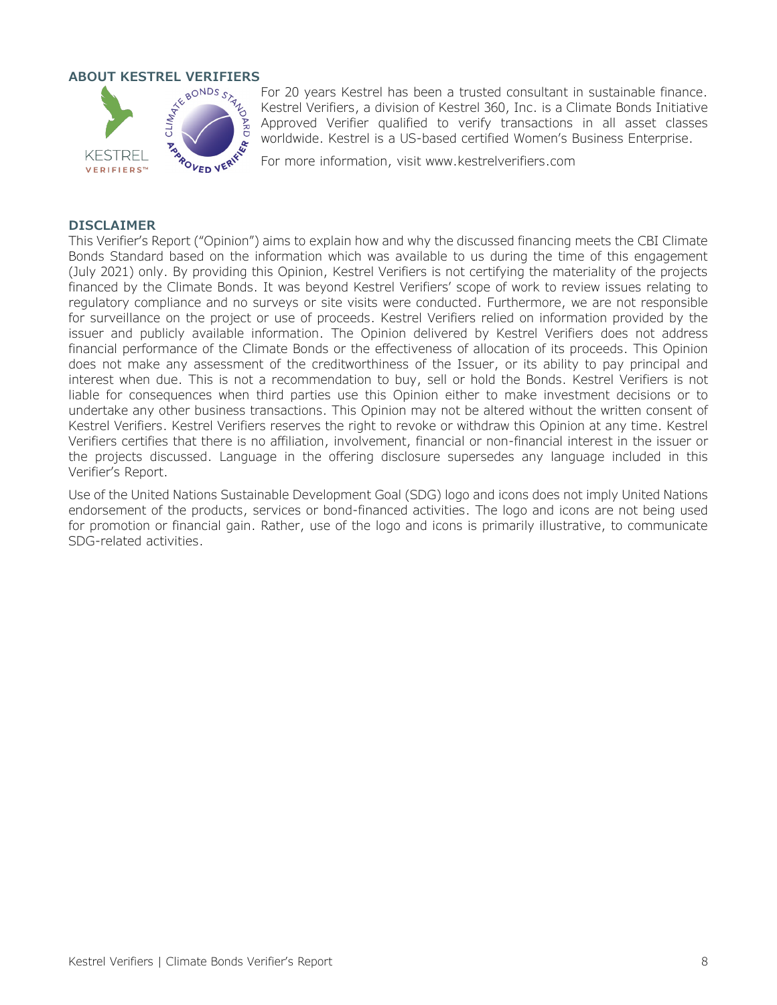

For 20 years Kestrel has been a trusted consultant in sustainable finance. Kestrel Verifiers, a division of Kestrel 360, Inc. is a Climate Bonds Initiative Approved Verifier qualified to verify transactions in all asset classes worldwide. Kestrel is a US-based certified Women's Business Enterprise.

For more information, visit [www.kestrelverifiers.com](http://www.kestrelverifiers.com/)

#### **DISCLAIMER**

This Verifier's Report ("Opinion") aims to explain how and why the discussed financing meets the CBI Climate Bonds Standard based on the information which was available to us during the time of this engagement (July 2021) only. By providing this Opinion, Kestrel Verifiers is not certifying the materiality of the projects financed by the Climate Bonds. It was beyond Kestrel Verifiers' scope of work to review issues relating to regulatory compliance and no surveys or site visits were conducted. Furthermore, we are not responsible for surveillance on the project or use of proceeds. Kestrel Verifiers relied on information provided by the issuer and publicly available information. The Opinion delivered by Kestrel Verifiers does not address financial performance of the Climate Bonds or the effectiveness of allocation of its proceeds. This Opinion does not make any assessment of the creditworthiness of the Issuer, or its ability to pay principal and interest when due. This is not a recommendation to buy, sell or hold the Bonds. Kestrel Verifiers is not liable for consequences when third parties use this Opinion either to make investment decisions or to undertake any other business transactions. This Opinion may not be altered without the written consent of Kestrel Verifiers. Kestrel Verifiers reserves the right to revoke or withdraw this Opinion at any time. Kestrel Verifiers certifies that there is no affiliation, involvement, financial or non-financial interest in the issuer or the projects discussed. Language in the offering disclosure supersedes any language included in this Verifier's Report.

Use of the United Nations Sustainable Development Goal (SDG) logo and icons does not imply United Nations endorsement of the products, services or bond-financed activities. The logo and icons are not being used for promotion or financial gain. Rather, use of the logo and icons is primarily illustrative, to communicate SDG-related activities.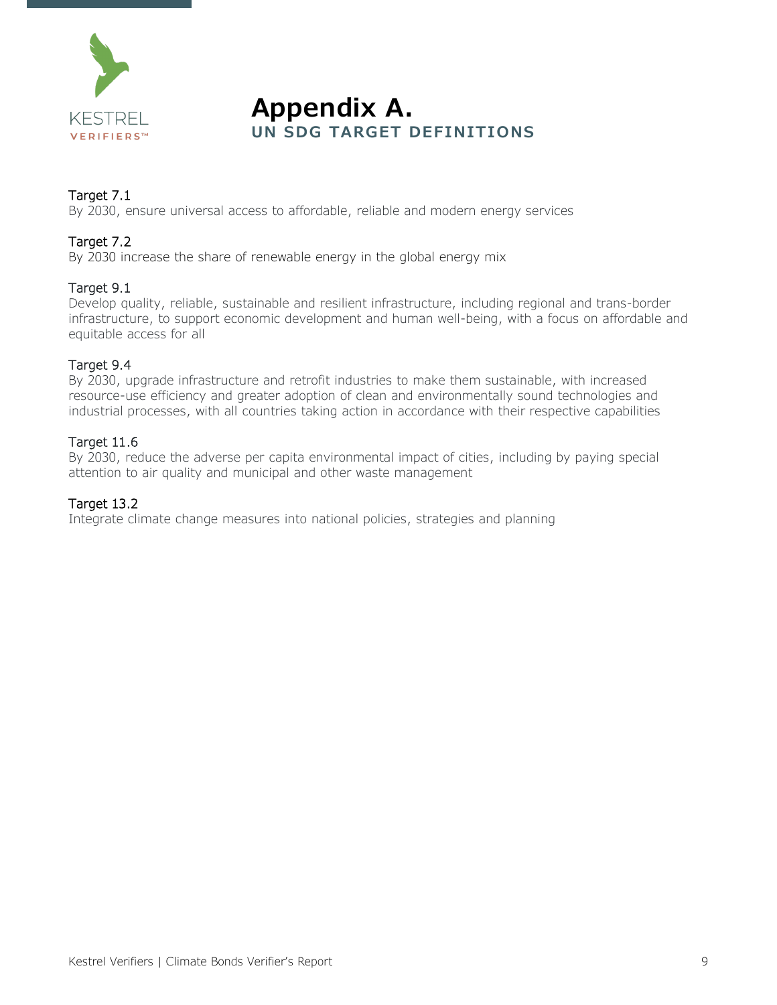

### **Appendix A. UN SDG TARGET DEFINITIONS**

### Target 7.1

By 2030, ensure universal access to affordable, reliable and modern energy services

#### Target 7.2

By 2030 increase the share of renewable energy in the global energy mix

#### Target 9.1

Develop quality, reliable, sustainable and resilient infrastructure, including regional and trans-border infrastructure, to support economic development and human well-being, with a focus on affordable and equitable access for all

#### Target 9.4

By 2030, upgrade infrastructure and retrofit industries to make them sustainable, with increased resource-use efficiency and greater adoption of clean and environmentally sound technologies and industrial processes, with all countries taking action in accordance with their respective capabilities

#### Target 11.6

By 2030, reduce the adverse per capita environmental impact of cities, including by paying special attention to air quality and municipal and other waste management

#### Target 13.2

Integrate climate change measures into national policies, strategies and planning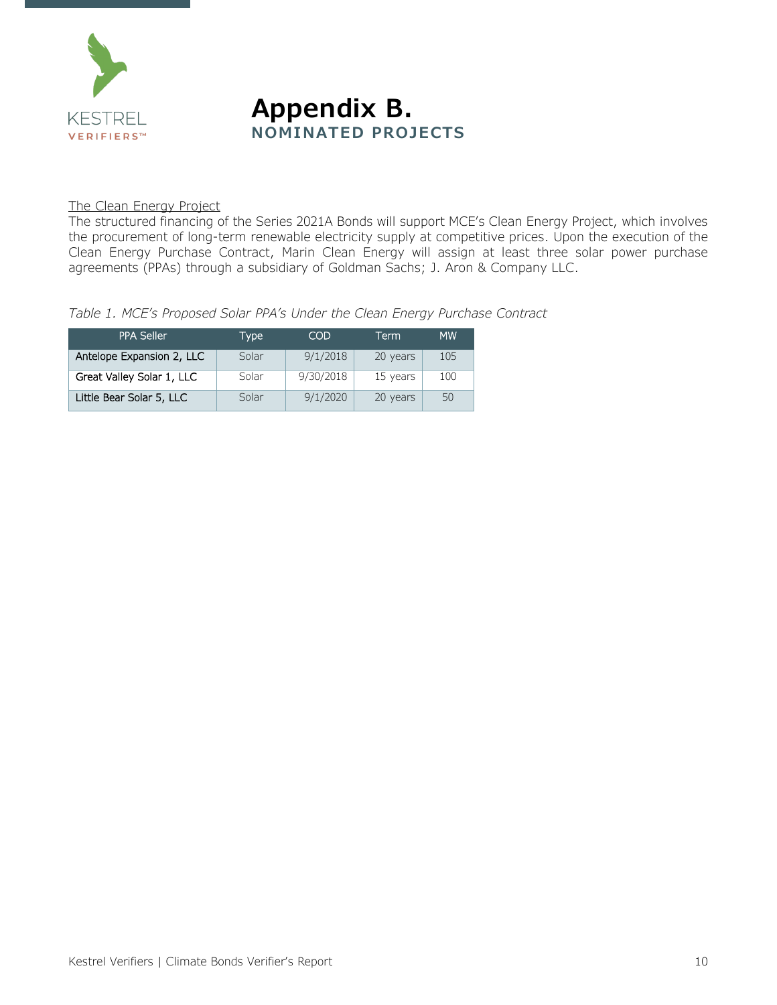



#### The Clean Energy Project

The structured financing of the Series 2021A Bonds will support MCE's Clean Energy Project, which involves the procurement of long-term renewable electricity supply at competitive prices. Upon the execution of the Clean Energy Purchase Contract, Marin Clean Energy will assign at least three solar power purchase agreements (PPAs) through a subsidiary of Goldman Sachs; J. Aron & Company LLC.

*Table 1. MCE's Proposed Solar PPA's Under the Clean Energy Purchase Contract*

| <b>PPA Seller</b>         | Type  | COD       | Term     | <b>MW</b> |
|---------------------------|-------|-----------|----------|-----------|
| Antelope Expansion 2, LLC | Solar | 9/1/2018  | 20 years | 105       |
| Great Valley Solar 1, LLC | Solar | 9/30/2018 | 15 years | 100       |
| Little Bear Solar 5, LLC  | Solar | 9/1/2020  | 20 years | 50        |